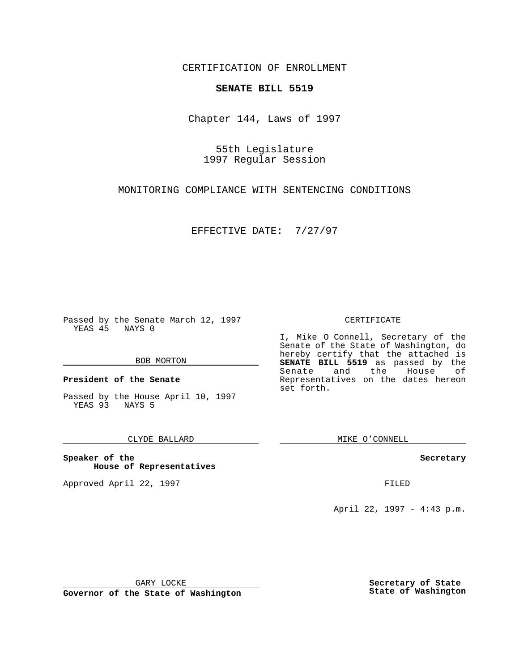CERTIFICATION OF ENROLLMENT

## **SENATE BILL 5519**

Chapter 144, Laws of 1997

55th Legislature 1997 Regular Session

MONITORING COMPLIANCE WITH SENTENCING CONDITIONS

EFFECTIVE DATE: 7/27/97

Passed by the Senate March 12, 1997 YEAS 45 NAYS 0

#### BOB MORTON

**President of the Senate**

Passed by the House April 10, 1997 YEAS 93 NAYS 5

#### CLYDE BALLARD

**Speaker of the House of Representatives**

Approved April 22, 1997 **FILED** 

#### CERTIFICATE

I, Mike O Connell, Secretary of the Senate of the State of Washington, do hereby certify that the attached is **SENATE BILL 5519** as passed by the Senate and the House of Representatives on the dates hereon set forth.

MIKE O'CONNELL

#### **Secretary**

April 22, 1997 - 4:43 p.m.

GARY LOCKE

**Governor of the State of Washington**

**Secretary of State State of Washington**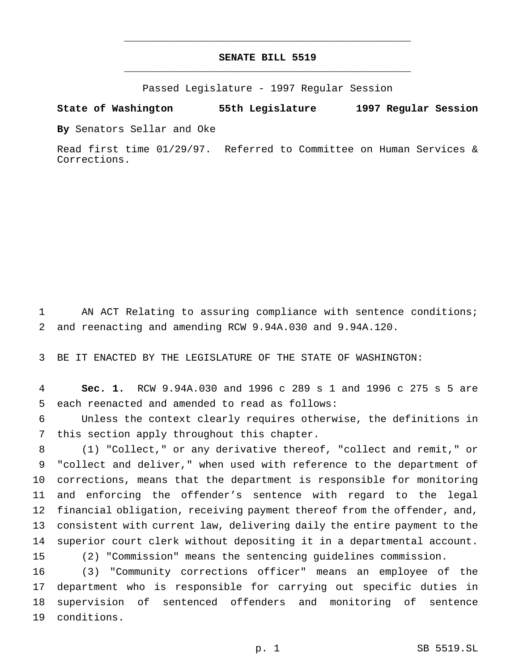# **SENATE BILL 5519** \_\_\_\_\_\_\_\_\_\_\_\_\_\_\_\_\_\_\_\_\_\_\_\_\_\_\_\_\_\_\_\_\_\_\_\_\_\_\_\_\_\_\_\_\_\_\_

\_\_\_\_\_\_\_\_\_\_\_\_\_\_\_\_\_\_\_\_\_\_\_\_\_\_\_\_\_\_\_\_\_\_\_\_\_\_\_\_\_\_\_\_\_\_\_

Passed Legislature - 1997 Regular Session

### **State of Washington 55th Legislature 1997 Regular Session**

**By** Senators Sellar and Oke

Read first time 01/29/97. Referred to Committee on Human Services & Corrections.

 AN ACT Relating to assuring compliance with sentence conditions; and reenacting and amending RCW 9.94A.030 and 9.94A.120.

BE IT ENACTED BY THE LEGISLATURE OF THE STATE OF WASHINGTON:

 **Sec. 1.** RCW 9.94A.030 and 1996 c 289 s 1 and 1996 c 275 s 5 are each reenacted and amended to read as follows:

 Unless the context clearly requires otherwise, the definitions in this section apply throughout this chapter.

 (1) "Collect," or any derivative thereof, "collect and remit," or "collect and deliver," when used with reference to the department of corrections, means that the department is responsible for monitoring and enforcing the offender's sentence with regard to the legal financial obligation, receiving payment thereof from the offender, and, consistent with current law, delivering daily the entire payment to the superior court clerk without depositing it in a departmental account. (2) "Commission" means the sentencing guidelines commission.

 (3) "Community corrections officer" means an employee of the department who is responsible for carrying out specific duties in supervision of sentenced offenders and monitoring of sentence conditions.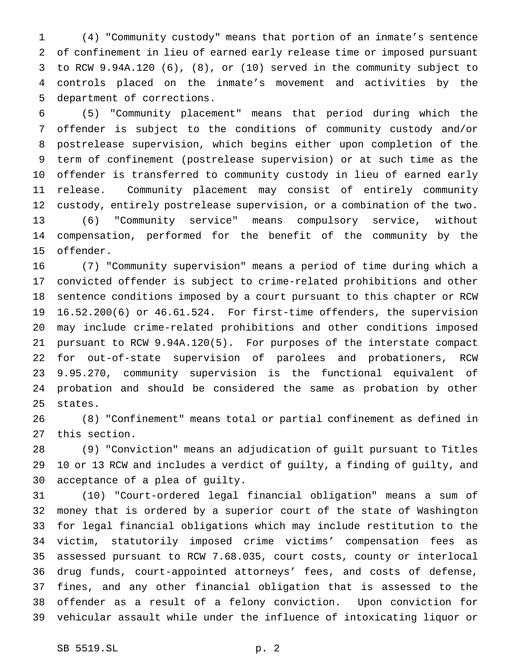(4) "Community custody" means that portion of an inmate's sentence of confinement in lieu of earned early release time or imposed pursuant to RCW 9.94A.120 (6), (8), or (10) served in the community subject to controls placed on the inmate's movement and activities by the department of corrections.

 (5) "Community placement" means that period during which the offender is subject to the conditions of community custody and/or postrelease supervision, which begins either upon completion of the term of confinement (postrelease supervision) or at such time as the offender is transferred to community custody in lieu of earned early release. Community placement may consist of entirely community custody, entirely postrelease supervision, or a combination of the two. (6) "Community service" means compulsory service, without compensation, performed for the benefit of the community by the offender.

 (7) "Community supervision" means a period of time during which a convicted offender is subject to crime-related prohibitions and other sentence conditions imposed by a court pursuant to this chapter or RCW 16.52.200(6) or 46.61.524. For first-time offenders, the supervision may include crime-related prohibitions and other conditions imposed pursuant to RCW 9.94A.120(5). For purposes of the interstate compact for out-of-state supervision of parolees and probationers, RCW 9.95.270, community supervision is the functional equivalent of probation and should be considered the same as probation by other states.

 (8) "Confinement" means total or partial confinement as defined in this section.

 (9) "Conviction" means an adjudication of guilt pursuant to Titles 10 or 13 RCW and includes a verdict of guilty, a finding of guilty, and acceptance of a plea of guilty.

 (10) "Court-ordered legal financial obligation" means a sum of money that is ordered by a superior court of the state of Washington for legal financial obligations which may include restitution to the victim, statutorily imposed crime victims' compensation fees as assessed pursuant to RCW 7.68.035, court costs, county or interlocal drug funds, court-appointed attorneys' fees, and costs of defense, fines, and any other financial obligation that is assessed to the offender as a result of a felony conviction. Upon conviction for vehicular assault while under the influence of intoxicating liquor or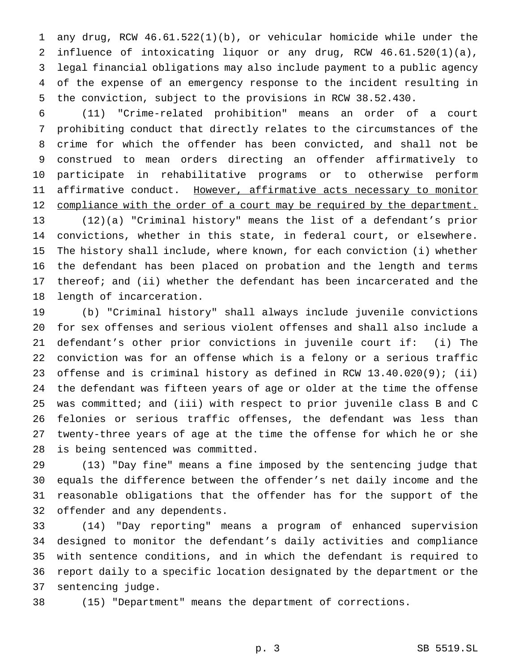any drug, RCW 46.61.522(1)(b), or vehicular homicide while under the influence of intoxicating liquor or any drug, RCW 46.61.520(1)(a), legal financial obligations may also include payment to a public agency of the expense of an emergency response to the incident resulting in the conviction, subject to the provisions in RCW 38.52.430.

 (11) "Crime-related prohibition" means an order of a court prohibiting conduct that directly relates to the circumstances of the crime for which the offender has been convicted, and shall not be construed to mean orders directing an offender affirmatively to participate in rehabilitative programs or to otherwise perform 11 affirmative conduct. However, affirmative acts necessary to monitor 12 compliance with the order of a court may be required by the department. (12)(a) "Criminal history" means the list of a defendant's prior convictions, whether in this state, in federal court, or elsewhere.

 The history shall include, where known, for each conviction (i) whether the defendant has been placed on probation and the length and terms thereof; and (ii) whether the defendant has been incarcerated and the length of incarceration.

 (b) "Criminal history" shall always include juvenile convictions for sex offenses and serious violent offenses and shall also include a defendant's other prior convictions in juvenile court if: (i) The conviction was for an offense which is a felony or a serious traffic offense and is criminal history as defined in RCW 13.40.020(9); (ii) the defendant was fifteen years of age or older at the time the offense was committed; and (iii) with respect to prior juvenile class B and C felonies or serious traffic offenses, the defendant was less than twenty-three years of age at the time the offense for which he or she is being sentenced was committed.

 (13) "Day fine" means a fine imposed by the sentencing judge that equals the difference between the offender's net daily income and the reasonable obligations that the offender has for the support of the offender and any dependents.

 (14) "Day reporting" means a program of enhanced supervision designed to monitor the defendant's daily activities and compliance with sentence conditions, and in which the defendant is required to report daily to a specific location designated by the department or the sentencing judge.

(15) "Department" means the department of corrections.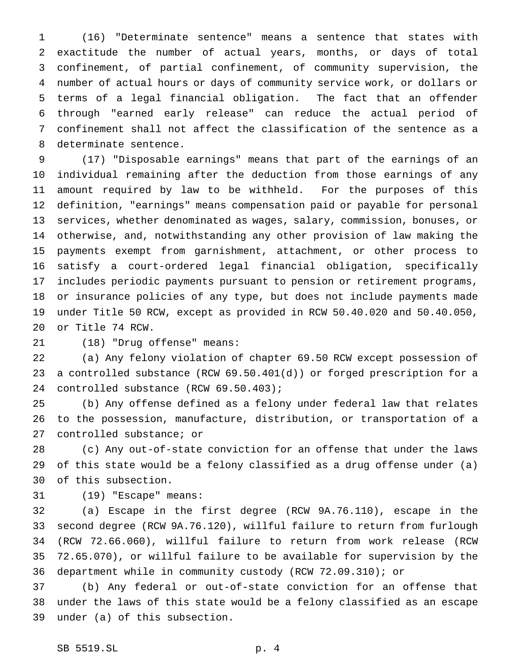(16) "Determinate sentence" means a sentence that states with exactitude the number of actual years, months, or days of total confinement, of partial confinement, of community supervision, the number of actual hours or days of community service work, or dollars or terms of a legal financial obligation. The fact that an offender through "earned early release" can reduce the actual period of confinement shall not affect the classification of the sentence as a determinate sentence.

 (17) "Disposable earnings" means that part of the earnings of an individual remaining after the deduction from those earnings of any amount required by law to be withheld. For the purposes of this definition, "earnings" means compensation paid or payable for personal services, whether denominated as wages, salary, commission, bonuses, or otherwise, and, notwithstanding any other provision of law making the payments exempt from garnishment, attachment, or other process to satisfy a court-ordered legal financial obligation, specifically includes periodic payments pursuant to pension or retirement programs, or insurance policies of any type, but does not include payments made under Title 50 RCW, except as provided in RCW 50.40.020 and 50.40.050, or Title 74 RCW.

(18) "Drug offense" means:

 (a) Any felony violation of chapter 69.50 RCW except possession of a controlled substance (RCW 69.50.401(d)) or forged prescription for a controlled substance (RCW 69.50.403);

 (b) Any offense defined as a felony under federal law that relates to the possession, manufacture, distribution, or transportation of a controlled substance; or

 (c) Any out-of-state conviction for an offense that under the laws of this state would be a felony classified as a drug offense under (a) of this subsection.

(19) "Escape" means:

 (a) Escape in the first degree (RCW 9A.76.110), escape in the second degree (RCW 9A.76.120), willful failure to return from furlough (RCW 72.66.060), willful failure to return from work release (RCW 72.65.070), or willful failure to be available for supervision by the department while in community custody (RCW 72.09.310); or

 (b) Any federal or out-of-state conviction for an offense that under the laws of this state would be a felony classified as an escape under (a) of this subsection.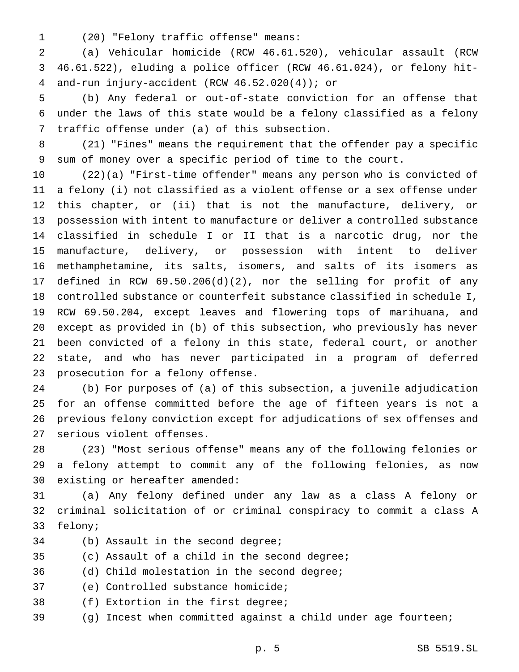(20) "Felony traffic offense" means:

 (a) Vehicular homicide (RCW 46.61.520), vehicular assault (RCW 46.61.522), eluding a police officer (RCW 46.61.024), or felony hit-and-run injury-accident (RCW 46.52.020(4)); or

 (b) Any federal or out-of-state conviction for an offense that under the laws of this state would be a felony classified as a felony traffic offense under (a) of this subsection.

 (21) "Fines" means the requirement that the offender pay a specific sum of money over a specific period of time to the court.

 (22)(a) "First-time offender" means any person who is convicted of a felony (i) not classified as a violent offense or a sex offense under this chapter, or (ii) that is not the manufacture, delivery, or possession with intent to manufacture or deliver a controlled substance classified in schedule I or II that is a narcotic drug, nor the manufacture, delivery, or possession with intent to deliver methamphetamine, its salts, isomers, and salts of its isomers as defined in RCW 69.50.206(d)(2), nor the selling for profit of any controlled substance or counterfeit substance classified in schedule I, RCW 69.50.204, except leaves and flowering tops of marihuana, and except as provided in (b) of this subsection, who previously has never been convicted of a felony in this state, federal court, or another state, and who has never participated in a program of deferred prosecution for a felony offense.

 (b) For purposes of (a) of this subsection, a juvenile adjudication for an offense committed before the age of fifteen years is not a previous felony conviction except for adjudications of sex offenses and serious violent offenses.

 (23) "Most serious offense" means any of the following felonies or a felony attempt to commit any of the following felonies, as now existing or hereafter amended:

 (a) Any felony defined under any law as a class A felony or criminal solicitation of or criminal conspiracy to commit a class A felony;

- (b) Assault in the second degree;
- (c) Assault of a child in the second degree;
- (d) Child molestation in the second degree;
- (e) Controlled substance homicide;
- (f) Extortion in the first degree;
- (g) Incest when committed against a child under age fourteen;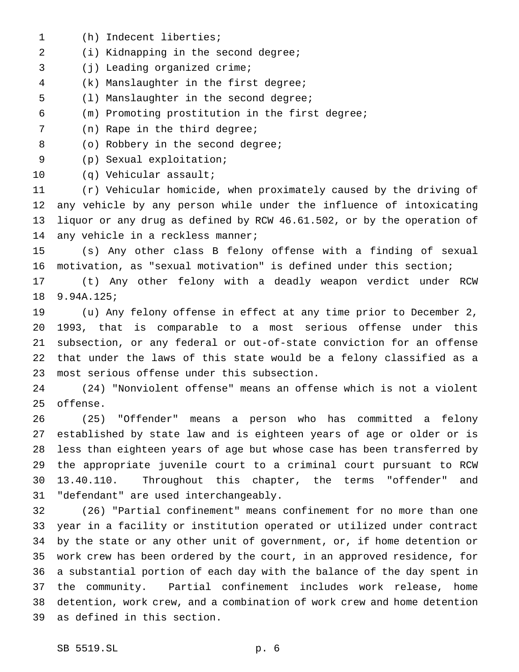(h) Indecent liberties; (i) Kidnapping in the second degree; (j) Leading organized crime; (k) Manslaughter in the first degree; (l) Manslaughter in the second degree; (m) Promoting prostitution in the first degree; (n) Rape in the third degree; 8 (o) Robbery in the second degree; (p) Sexual exploitation; (q) Vehicular assault; (r) Vehicular homicide, when proximately caused by the driving of any vehicle by any person while under the influence of intoxicating liquor or any drug as defined by RCW 46.61.502, or by the operation of 14 any vehicle in a reckless manner; (s) Any other class B felony offense with a finding of sexual motivation, as "sexual motivation" is defined under this section; (t) Any other felony with a deadly weapon verdict under RCW 9.94A.125; (u) Any felony offense in effect at any time prior to December 2, 1993, that is comparable to a most serious offense under this subsection, or any federal or out-of-state conviction for an offense that under the laws of this state would be a felony classified as a most serious offense under this subsection. (24) "Nonviolent offense" means an offense which is not a violent offense. (25) "Offender" means a person who has committed a felony established by state law and is eighteen years of age or older or is less than eighteen years of age but whose case has been transferred by the appropriate juvenile court to a criminal court pursuant to RCW 13.40.110. Throughout this chapter, the terms "offender" and "defendant" are used interchangeably. (26) "Partial confinement" means confinement for no more than one year in a facility or institution operated or utilized under contract by the state or any other unit of government, or, if home detention or work crew has been ordered by the court, in an approved residence, for a substantial portion of each day with the balance of the day spent in the community. Partial confinement includes work release, home detention, work crew, and a combination of work crew and home detention as defined in this section.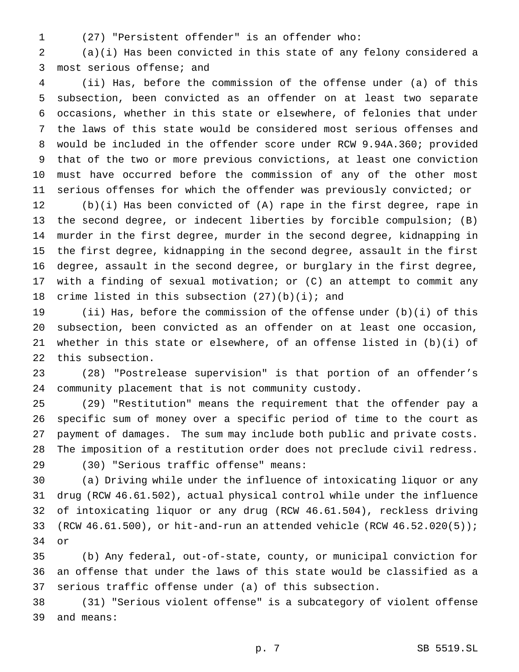- 
- (27) "Persistent offender" is an offender who:

 (a)(i) Has been convicted in this state of any felony considered a most serious offense; and

 (ii) Has, before the commission of the offense under (a) of this subsection, been convicted as an offender on at least two separate occasions, whether in this state or elsewhere, of felonies that under the laws of this state would be considered most serious offenses and would be included in the offender score under RCW 9.94A.360; provided that of the two or more previous convictions, at least one conviction must have occurred before the commission of any of the other most serious offenses for which the offender was previously convicted; or

 (b)(i) Has been convicted of (A) rape in the first degree, rape in the second degree, or indecent liberties by forcible compulsion; (B) murder in the first degree, murder in the second degree, kidnapping in the first degree, kidnapping in the second degree, assault in the first degree, assault in the second degree, or burglary in the first degree, with a finding of sexual motivation; or (C) an attempt to commit any 18 crime listed in this subsection  $(27)(b)(i)$ ; and

 (ii) Has, before the commission of the offense under (b)(i) of this subsection, been convicted as an offender on at least one occasion, whether in this state or elsewhere, of an offense listed in (b)(i) of this subsection.

 (28) "Postrelease supervision" is that portion of an offender's community placement that is not community custody.

 (29) "Restitution" means the requirement that the offender pay a specific sum of money over a specific period of time to the court as payment of damages. The sum may include both public and private costs. The imposition of a restitution order does not preclude civil redress.

(30) "Serious traffic offense" means:

 (a) Driving while under the influence of intoxicating liquor or any drug (RCW 46.61.502), actual physical control while under the influence of intoxicating liquor or any drug (RCW 46.61.504), reckless driving 33 (RCW  $46.61.500$ ), or hit-and-run an attended vehicle (RCW  $46.52.020(5)$ ); or

 (b) Any federal, out-of-state, county, or municipal conviction for an offense that under the laws of this state would be classified as a serious traffic offense under (a) of this subsection.

 (31) "Serious violent offense" is a subcategory of violent offense and means: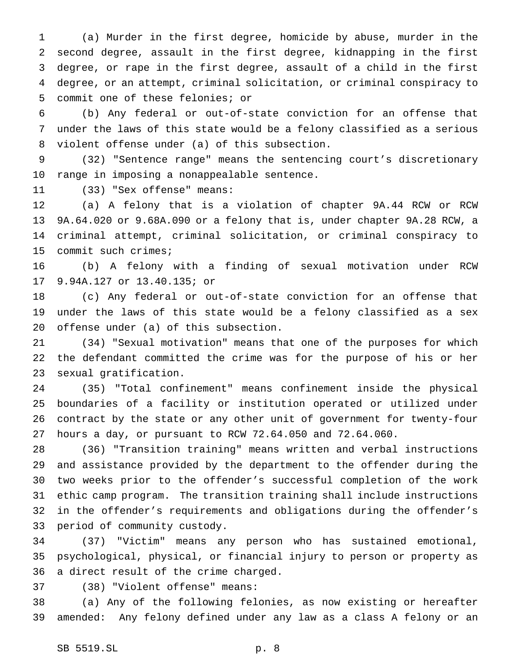(a) Murder in the first degree, homicide by abuse, murder in the second degree, assault in the first degree, kidnapping in the first degree, or rape in the first degree, assault of a child in the first degree, or an attempt, criminal solicitation, or criminal conspiracy to commit one of these felonies; or

 (b) Any federal or out-of-state conviction for an offense that under the laws of this state would be a felony classified as a serious violent offense under (a) of this subsection.

 (32) "Sentence range" means the sentencing court's discretionary range in imposing a nonappealable sentence.

(33) "Sex offense" means:

 (a) A felony that is a violation of chapter 9A.44 RCW or RCW 9A.64.020 or 9.68A.090 or a felony that is, under chapter 9A.28 RCW, a criminal attempt, criminal solicitation, or criminal conspiracy to commit such crimes;

 (b) A felony with a finding of sexual motivation under RCW 9.94A.127 or 13.40.135; or

 (c) Any federal or out-of-state conviction for an offense that under the laws of this state would be a felony classified as a sex offense under (a) of this subsection.

 (34) "Sexual motivation" means that one of the purposes for which the defendant committed the crime was for the purpose of his or her sexual gratification.

 (35) "Total confinement" means confinement inside the physical boundaries of a facility or institution operated or utilized under contract by the state or any other unit of government for twenty-four hours a day, or pursuant to RCW 72.64.050 and 72.64.060.

 (36) "Transition training" means written and verbal instructions and assistance provided by the department to the offender during the two weeks prior to the offender's successful completion of the work ethic camp program. The transition training shall include instructions in the offender's requirements and obligations during the offender's period of community custody.

 (37) "Victim" means any person who has sustained emotional, psychological, physical, or financial injury to person or property as a direct result of the crime charged.

(38) "Violent offense" means:

 (a) Any of the following felonies, as now existing or hereafter amended: Any felony defined under any law as a class A felony or an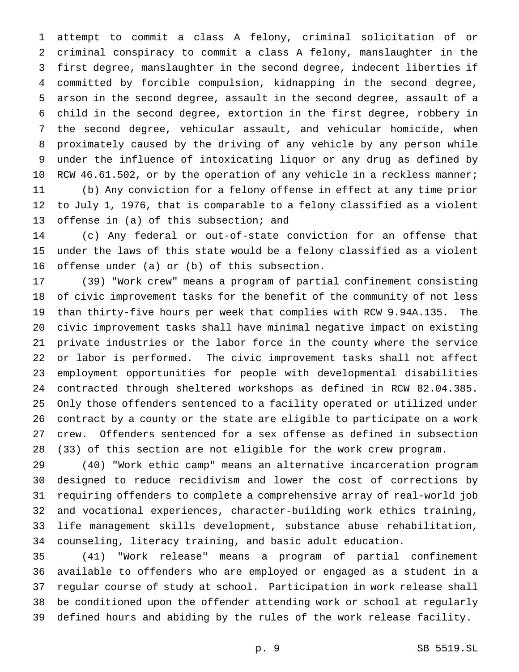attempt to commit a class A felony, criminal solicitation of or criminal conspiracy to commit a class A felony, manslaughter in the first degree, manslaughter in the second degree, indecent liberties if committed by forcible compulsion, kidnapping in the second degree, arson in the second degree, assault in the second degree, assault of a child in the second degree, extortion in the first degree, robbery in the second degree, vehicular assault, and vehicular homicide, when proximately caused by the driving of any vehicle by any person while under the influence of intoxicating liquor or any drug as defined by 10 RCW 46.61.502, or by the operation of any vehicle in a reckless manner; (b) Any conviction for a felony offense in effect at any time prior to July 1, 1976, that is comparable to a felony classified as a violent 13 offense in (a) of this subsection; and

 (c) Any federal or out-of-state conviction for an offense that under the laws of this state would be a felony classified as a violent offense under (a) or (b) of this subsection.

 (39) "Work crew" means a program of partial confinement consisting of civic improvement tasks for the benefit of the community of not less than thirty-five hours per week that complies with RCW 9.94A.135. The civic improvement tasks shall have minimal negative impact on existing private industries or the labor force in the county where the service or labor is performed. The civic improvement tasks shall not affect employment opportunities for people with developmental disabilities contracted through sheltered workshops as defined in RCW 82.04.385. Only those offenders sentenced to a facility operated or utilized under contract by a county or the state are eligible to participate on a work crew. Offenders sentenced for a sex offense as defined in subsection (33) of this section are not eligible for the work crew program.

 (40) "Work ethic camp" means an alternative incarceration program designed to reduce recidivism and lower the cost of corrections by requiring offenders to complete a comprehensive array of real-world job and vocational experiences, character-building work ethics training, life management skills development, substance abuse rehabilitation, counseling, literacy training, and basic adult education.

 (41) "Work release" means a program of partial confinement available to offenders who are employed or engaged as a student in a regular course of study at school. Participation in work release shall be conditioned upon the offender attending work or school at regularly defined hours and abiding by the rules of the work release facility.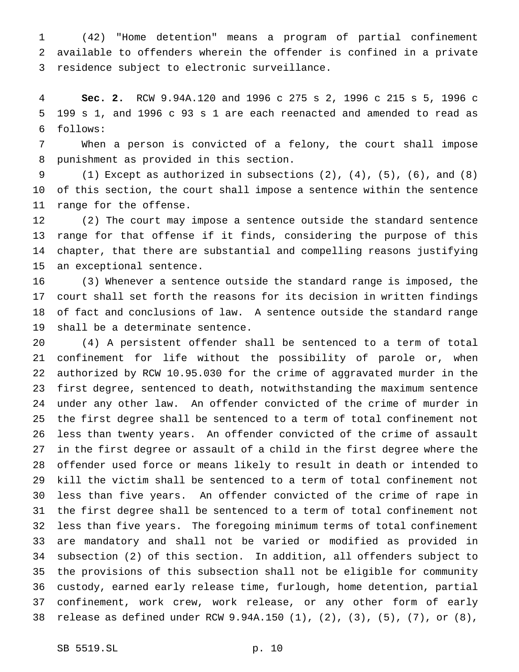(42) "Home detention" means a program of partial confinement available to offenders wherein the offender is confined in a private residence subject to electronic surveillance.

 **Sec. 2.** RCW 9.94A.120 and 1996 c 275 s 2, 1996 c 215 s 5, 1996 c 199 s 1, and 1996 c 93 s 1 are each reenacted and amended to read as follows:

 When a person is convicted of a felony, the court shall impose punishment as provided in this section.

 (1) Except as authorized in subsections (2), (4), (5), (6), and (8) of this section, the court shall impose a sentence within the sentence range for the offense.

 (2) The court may impose a sentence outside the standard sentence range for that offense if it finds, considering the purpose of this chapter, that there are substantial and compelling reasons justifying an exceptional sentence.

 (3) Whenever a sentence outside the standard range is imposed, the court shall set forth the reasons for its decision in written findings of fact and conclusions of law. A sentence outside the standard range shall be a determinate sentence.

 (4) A persistent offender shall be sentenced to a term of total confinement for life without the possibility of parole or, when authorized by RCW 10.95.030 for the crime of aggravated murder in the first degree, sentenced to death, notwithstanding the maximum sentence under any other law. An offender convicted of the crime of murder in the first degree shall be sentenced to a term of total confinement not less than twenty years. An offender convicted of the crime of assault in the first degree or assault of a child in the first degree where the offender used force or means likely to result in death or intended to kill the victim shall be sentenced to a term of total confinement not less than five years. An offender convicted of the crime of rape in the first degree shall be sentenced to a term of total confinement not less than five years. The foregoing minimum terms of total confinement are mandatory and shall not be varied or modified as provided in subsection (2) of this section. In addition, all offenders subject to the provisions of this subsection shall not be eligible for community custody, earned early release time, furlough, home detention, partial confinement, work crew, work release, or any other form of early release as defined under RCW 9.94A.150 (1), (2), (3), (5), (7), or (8),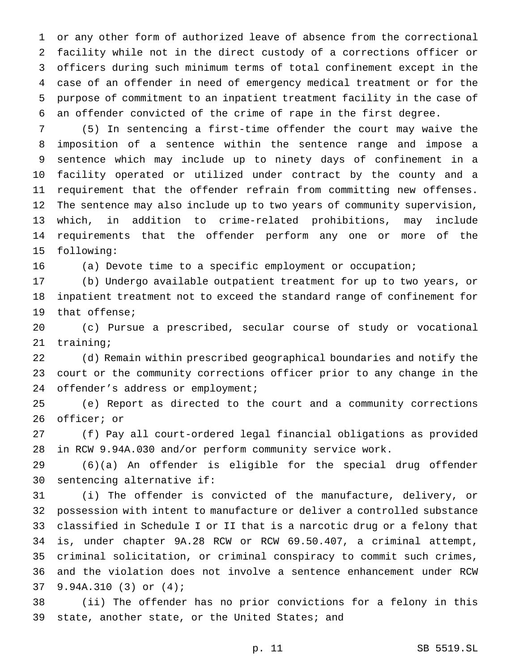or any other form of authorized leave of absence from the correctional facility while not in the direct custody of a corrections officer or officers during such minimum terms of total confinement except in the case of an offender in need of emergency medical treatment or for the purpose of commitment to an inpatient treatment facility in the case of an offender convicted of the crime of rape in the first degree.

 (5) In sentencing a first-time offender the court may waive the imposition of a sentence within the sentence range and impose a sentence which may include up to ninety days of confinement in a facility operated or utilized under contract by the county and a requirement that the offender refrain from committing new offenses. The sentence may also include up to two years of community supervision, which, in addition to crime-related prohibitions, may include requirements that the offender perform any one or more of the following:

(a) Devote time to a specific employment or occupation;

 (b) Undergo available outpatient treatment for up to two years, or inpatient treatment not to exceed the standard range of confinement for that offense;

 (c) Pursue a prescribed, secular course of study or vocational training;

 (d) Remain within prescribed geographical boundaries and notify the court or the community corrections officer prior to any change in the 24 offender's address or employment;

 (e) Report as directed to the court and a community corrections officer; or

 (f) Pay all court-ordered legal financial obligations as provided in RCW 9.94A.030 and/or perform community service work.

 (6)(a) An offender is eligible for the special drug offender sentencing alternative if:

 (i) The offender is convicted of the manufacture, delivery, or possession with intent to manufacture or deliver a controlled substance classified in Schedule I or II that is a narcotic drug or a felony that is, under chapter 9A.28 RCW or RCW 69.50.407, a criminal attempt, criminal solicitation, or criminal conspiracy to commit such crimes, and the violation does not involve a sentence enhancement under RCW 9.94A.310 (3) or (4);

 (ii) The offender has no prior convictions for a felony in this state, another state, or the United States; and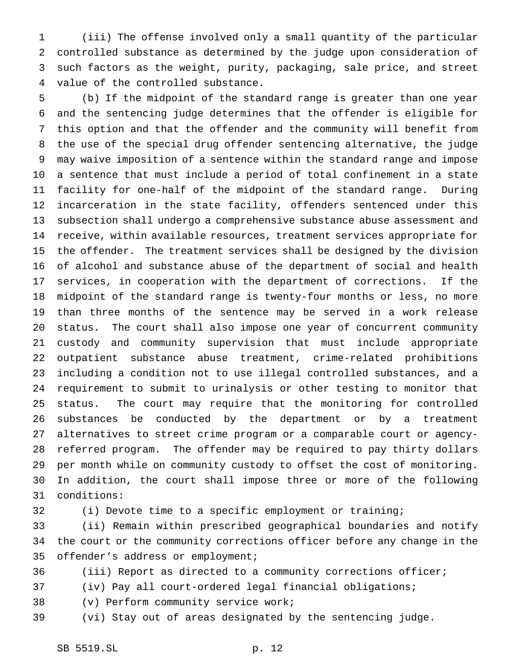(iii) The offense involved only a small quantity of the particular controlled substance as determined by the judge upon consideration of such factors as the weight, purity, packaging, sale price, and street value of the controlled substance.

 (b) If the midpoint of the standard range is greater than one year and the sentencing judge determines that the offender is eligible for this option and that the offender and the community will benefit from the use of the special drug offender sentencing alternative, the judge may waive imposition of a sentence within the standard range and impose a sentence that must include a period of total confinement in a state facility for one-half of the midpoint of the standard range. During incarceration in the state facility, offenders sentenced under this subsection shall undergo a comprehensive substance abuse assessment and receive, within available resources, treatment services appropriate for the offender. The treatment services shall be designed by the division of alcohol and substance abuse of the department of social and health services, in cooperation with the department of corrections. If the midpoint of the standard range is twenty-four months or less, no more than three months of the sentence may be served in a work release status. The court shall also impose one year of concurrent community custody and community supervision that must include appropriate outpatient substance abuse treatment, crime-related prohibitions including a condition not to use illegal controlled substances, and a requirement to submit to urinalysis or other testing to monitor that status. The court may require that the monitoring for controlled substances be conducted by the department or by a treatment alternatives to street crime program or a comparable court or agency- referred program. The offender may be required to pay thirty dollars per month while on community custody to offset the cost of monitoring. In addition, the court shall impose three or more of the following conditions:

(i) Devote time to a specific employment or training;

 (ii) Remain within prescribed geographical boundaries and notify the court or the community corrections officer before any change in the offender's address or employment;

(iii) Report as directed to a community corrections officer;

(iv) Pay all court-ordered legal financial obligations;

(v) Perform community service work;

(vi) Stay out of areas designated by the sentencing judge.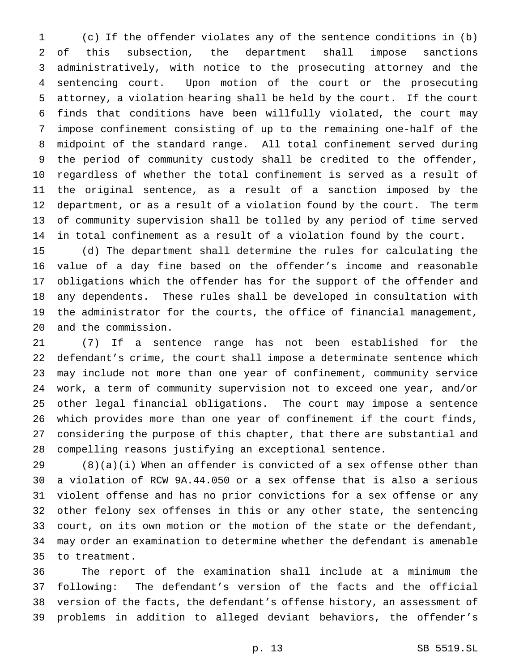(c) If the offender violates any of the sentence conditions in (b) of this subsection, the department shall impose sanctions administratively, with notice to the prosecuting attorney and the sentencing court. Upon motion of the court or the prosecuting attorney, a violation hearing shall be held by the court. If the court finds that conditions have been willfully violated, the court may impose confinement consisting of up to the remaining one-half of the midpoint of the standard range. All total confinement served during the period of community custody shall be credited to the offender, regardless of whether the total confinement is served as a result of the original sentence, as a result of a sanction imposed by the department, or as a result of a violation found by the court. The term of community supervision shall be tolled by any period of time served in total confinement as a result of a violation found by the court.

 (d) The department shall determine the rules for calculating the value of a day fine based on the offender's income and reasonable obligations which the offender has for the support of the offender and any dependents. These rules shall be developed in consultation with the administrator for the courts, the office of financial management, and the commission.

 (7) If a sentence range has not been established for the defendant's crime, the court shall impose a determinate sentence which may include not more than one year of confinement, community service work, a term of community supervision not to exceed one year, and/or other legal financial obligations. The court may impose a sentence which provides more than one year of confinement if the court finds, considering the purpose of this chapter, that there are substantial and compelling reasons justifying an exceptional sentence.

 (8)(a)(i) When an offender is convicted of a sex offense other than a violation of RCW 9A.44.050 or a sex offense that is also a serious violent offense and has no prior convictions for a sex offense or any other felony sex offenses in this or any other state, the sentencing court, on its own motion or the motion of the state or the defendant, may order an examination to determine whether the defendant is amenable to treatment.

 The report of the examination shall include at a minimum the following: The defendant's version of the facts and the official version of the facts, the defendant's offense history, an assessment of problems in addition to alleged deviant behaviors, the offender's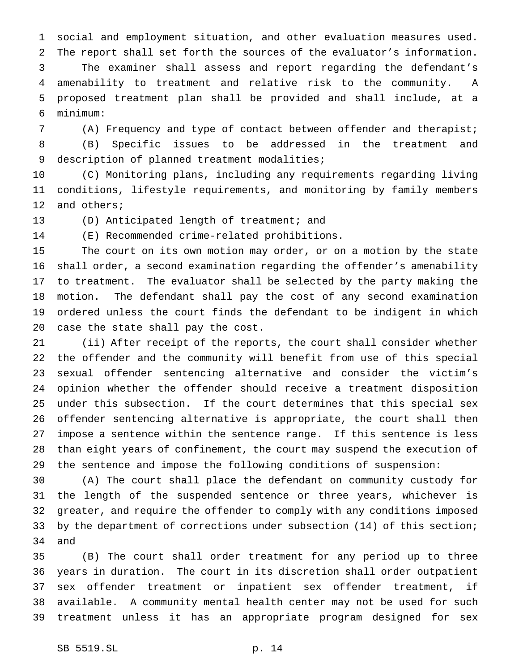social and employment situation, and other evaluation measures used. The report shall set forth the sources of the evaluator's information. The examiner shall assess and report regarding the defendant's amenability to treatment and relative risk to the community. A proposed treatment plan shall be provided and shall include, at a minimum:

 (A) Frequency and type of contact between offender and therapist; (B) Specific issues to be addressed in the treatment and 9 description of planned treatment modalities;

 (C) Monitoring plans, including any requirements regarding living conditions, lifestyle requirements, and monitoring by family members 12 and others;

(D) Anticipated length of treatment; and

(E) Recommended crime-related prohibitions.

 The court on its own motion may order, or on a motion by the state shall order, a second examination regarding the offender's amenability to treatment. The evaluator shall be selected by the party making the motion. The defendant shall pay the cost of any second examination ordered unless the court finds the defendant to be indigent in which case the state shall pay the cost.

 (ii) After receipt of the reports, the court shall consider whether the offender and the community will benefit from use of this special sexual offender sentencing alternative and consider the victim's opinion whether the offender should receive a treatment disposition under this subsection. If the court determines that this special sex offender sentencing alternative is appropriate, the court shall then impose a sentence within the sentence range. If this sentence is less than eight years of confinement, the court may suspend the execution of the sentence and impose the following conditions of suspension:

 (A) The court shall place the defendant on community custody for the length of the suspended sentence or three years, whichever is greater, and require the offender to comply with any conditions imposed by the department of corrections under subsection (14) of this section; and

 (B) The court shall order treatment for any period up to three years in duration. The court in its discretion shall order outpatient sex offender treatment or inpatient sex offender treatment, if available. A community mental health center may not be used for such treatment unless it has an appropriate program designed for sex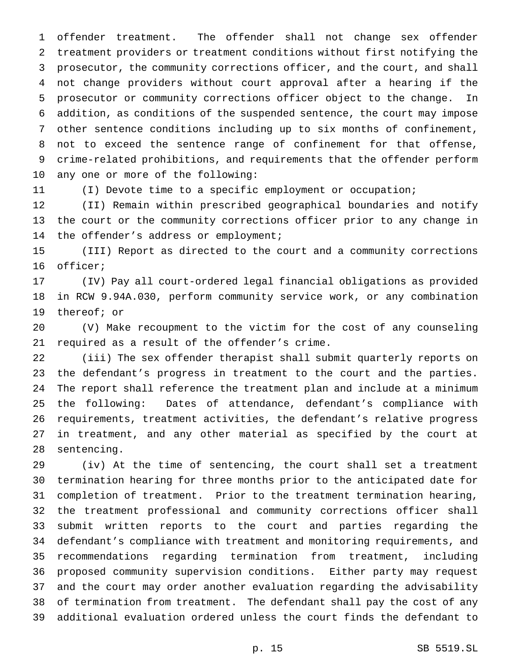offender treatment. The offender shall not change sex offender treatment providers or treatment conditions without first notifying the prosecutor, the community corrections officer, and the court, and shall not change providers without court approval after a hearing if the prosecutor or community corrections officer object to the change. In addition, as conditions of the suspended sentence, the court may impose other sentence conditions including up to six months of confinement, not to exceed the sentence range of confinement for that offense, crime-related prohibitions, and requirements that the offender perform any one or more of the following:

(I) Devote time to a specific employment or occupation;

 (II) Remain within prescribed geographical boundaries and notify the court or the community corrections officer prior to any change in the offender's address or employment;

 (III) Report as directed to the court and a community corrections officer;

 (IV) Pay all court-ordered legal financial obligations as provided in RCW 9.94A.030, perform community service work, or any combination thereof; or

 (V) Make recoupment to the victim for the cost of any counseling required as a result of the offender's crime.

 (iii) The sex offender therapist shall submit quarterly reports on the defendant's progress in treatment to the court and the parties. The report shall reference the treatment plan and include at a minimum the following: Dates of attendance, defendant's compliance with requirements, treatment activities, the defendant's relative progress in treatment, and any other material as specified by the court at sentencing.

 (iv) At the time of sentencing, the court shall set a treatment termination hearing for three months prior to the anticipated date for completion of treatment. Prior to the treatment termination hearing, the treatment professional and community corrections officer shall submit written reports to the court and parties regarding the defendant's compliance with treatment and monitoring requirements, and recommendations regarding termination from treatment, including proposed community supervision conditions. Either party may request and the court may order another evaluation regarding the advisability of termination from treatment. The defendant shall pay the cost of any additional evaluation ordered unless the court finds the defendant to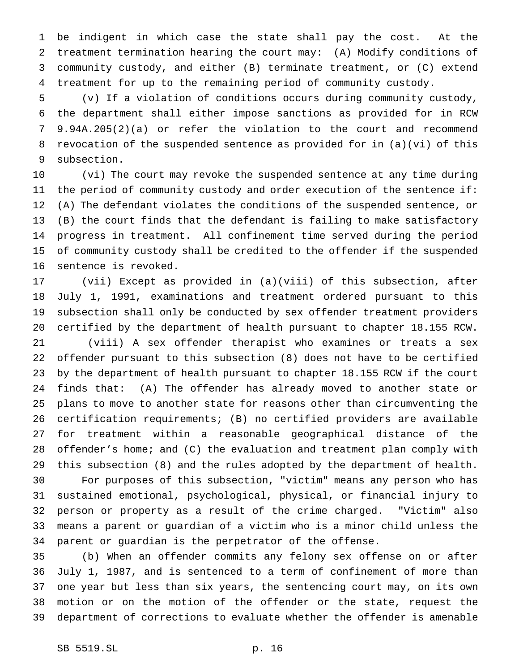be indigent in which case the state shall pay the cost. At the treatment termination hearing the court may: (A) Modify conditions of community custody, and either (B) terminate treatment, or (C) extend treatment for up to the remaining period of community custody.

 (v) If a violation of conditions occurs during community custody, the department shall either impose sanctions as provided for in RCW 9.94A.205(2)(a) or refer the violation to the court and recommend revocation of the suspended sentence as provided for in (a)(vi) of this subsection.

 (vi) The court may revoke the suspended sentence at any time during the period of community custody and order execution of the sentence if: (A) The defendant violates the conditions of the suspended sentence, or (B) the court finds that the defendant is failing to make satisfactory progress in treatment. All confinement time served during the period of community custody shall be credited to the offender if the suspended sentence is revoked.

 (vii) Except as provided in (a)(viii) of this subsection, after July 1, 1991, examinations and treatment ordered pursuant to this subsection shall only be conducted by sex offender treatment providers certified by the department of health pursuant to chapter 18.155 RCW.

 (viii) A sex offender therapist who examines or treats a sex offender pursuant to this subsection (8) does not have to be certified by the department of health pursuant to chapter 18.155 RCW if the court finds that: (A) The offender has already moved to another state or plans to move to another state for reasons other than circumventing the certification requirements; (B) no certified providers are available for treatment within a reasonable geographical distance of the offender's home; and (C) the evaluation and treatment plan comply with this subsection (8) and the rules adopted by the department of health.

 For purposes of this subsection, "victim" means any person who has sustained emotional, psychological, physical, or financial injury to person or property as a result of the crime charged. "Victim" also means a parent or guardian of a victim who is a minor child unless the parent or guardian is the perpetrator of the offense.

 (b) When an offender commits any felony sex offense on or after July 1, 1987, and is sentenced to a term of confinement of more than one year but less than six years, the sentencing court may, on its own motion or on the motion of the offender or the state, request the department of corrections to evaluate whether the offender is amenable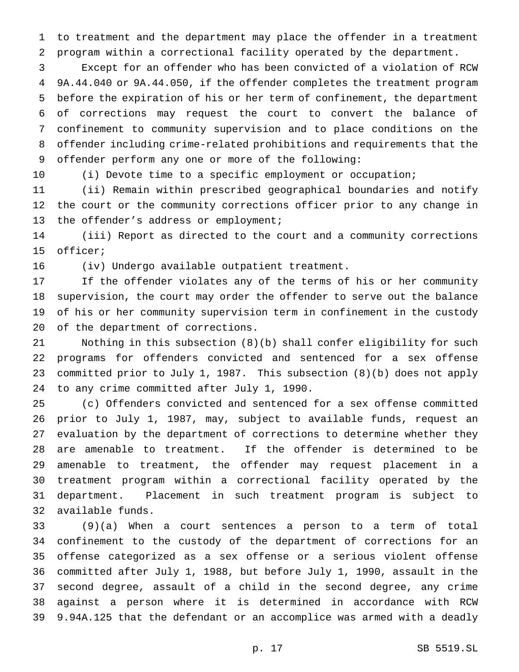to treatment and the department may place the offender in a treatment program within a correctional facility operated by the department.

 Except for an offender who has been convicted of a violation of RCW 9A.44.040 or 9A.44.050, if the offender completes the treatment program before the expiration of his or her term of confinement, the department of corrections may request the court to convert the balance of confinement to community supervision and to place conditions on the offender including crime-related prohibitions and requirements that the offender perform any one or more of the following:

(i) Devote time to a specific employment or occupation;

 (ii) Remain within prescribed geographical boundaries and notify the court or the community corrections officer prior to any change in the offender's address or employment;

 (iii) Report as directed to the court and a community corrections officer;

(iv) Undergo available outpatient treatment.

 If the offender violates any of the terms of his or her community supervision, the court may order the offender to serve out the balance of his or her community supervision term in confinement in the custody of the department of corrections.

 Nothing in this subsection (8)(b) shall confer eligibility for such programs for offenders convicted and sentenced for a sex offense committed prior to July 1, 1987. This subsection (8)(b) does not apply to any crime committed after July 1, 1990.

 (c) Offenders convicted and sentenced for a sex offense committed prior to July 1, 1987, may, subject to available funds, request an evaluation by the department of corrections to determine whether they are amenable to treatment. If the offender is determined to be amenable to treatment, the offender may request placement in a treatment program within a correctional facility operated by the department. Placement in such treatment program is subject to available funds.

 (9)(a) When a court sentences a person to a term of total confinement to the custody of the department of corrections for an offense categorized as a sex offense or a serious violent offense committed after July 1, 1988, but before July 1, 1990, assault in the second degree, assault of a child in the second degree, any crime against a person where it is determined in accordance with RCW 9.94A.125 that the defendant or an accomplice was armed with a deadly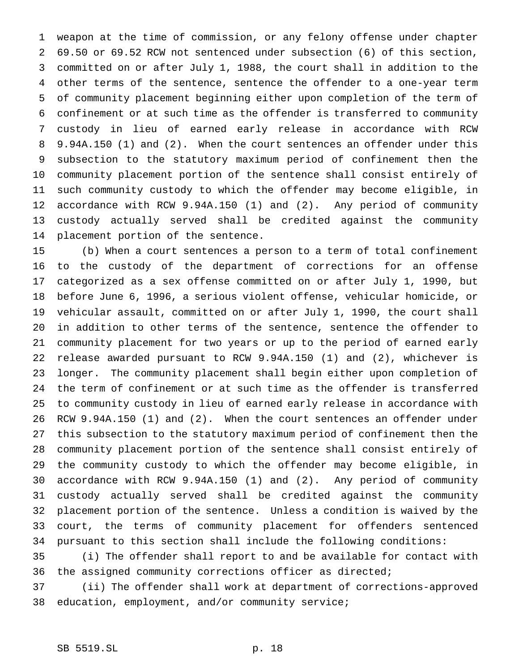weapon at the time of commission, or any felony offense under chapter 69.50 or 69.52 RCW not sentenced under subsection (6) of this section, committed on or after July 1, 1988, the court shall in addition to the other terms of the sentence, sentence the offender to a one-year term of community placement beginning either upon completion of the term of confinement or at such time as the offender is transferred to community custody in lieu of earned early release in accordance with RCW 9.94A.150 (1) and (2). When the court sentences an offender under this subsection to the statutory maximum period of confinement then the community placement portion of the sentence shall consist entirely of such community custody to which the offender may become eligible, in accordance with RCW 9.94A.150 (1) and (2). Any period of community custody actually served shall be credited against the community placement portion of the sentence.

 (b) When a court sentences a person to a term of total confinement to the custody of the department of corrections for an offense categorized as a sex offense committed on or after July 1, 1990, but before June 6, 1996, a serious violent offense, vehicular homicide, or vehicular assault, committed on or after July 1, 1990, the court shall in addition to other terms of the sentence, sentence the offender to community placement for two years or up to the period of earned early release awarded pursuant to RCW 9.94A.150 (1) and (2), whichever is longer. The community placement shall begin either upon completion of the term of confinement or at such time as the offender is transferred to community custody in lieu of earned early release in accordance with RCW 9.94A.150 (1) and (2). When the court sentences an offender under this subsection to the statutory maximum period of confinement then the community placement portion of the sentence shall consist entirely of the community custody to which the offender may become eligible, in accordance with RCW 9.94A.150 (1) and (2). Any period of community custody actually served shall be credited against the community placement portion of the sentence. Unless a condition is waived by the court, the terms of community placement for offenders sentenced pursuant to this section shall include the following conditions:

 (i) The offender shall report to and be available for contact with the assigned community corrections officer as directed;

 (ii) The offender shall work at department of corrections-approved education, employment, and/or community service;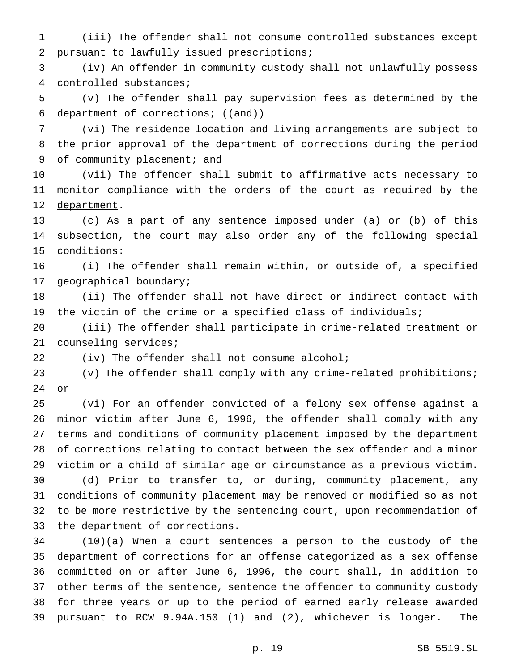(iii) The offender shall not consume controlled substances except pursuant to lawfully issued prescriptions;

 (iv) An offender in community custody shall not unlawfully possess controlled substances;

 (v) The offender shall pay supervision fees as determined by the department of corrections; ((and))

 (vi) The residence location and living arrangements are subject to the prior approval of the department of corrections during the period 9 of community placement; and

10 (vii) The offender shall submit to affirmative acts necessary to 11 monitor compliance with the orders of the court as required by the 12 department.

 (c) As a part of any sentence imposed under (a) or (b) of this subsection, the court may also order any of the following special conditions:

 (i) The offender shall remain within, or outside of, a specified geographical boundary;

 (ii) The offender shall not have direct or indirect contact with the victim of the crime or a specified class of individuals;

 (iii) The offender shall participate in crime-related treatment or counseling services;

(iv) The offender shall not consume alcohol;

 (v) The offender shall comply with any crime-related prohibitions; or

 (vi) For an offender convicted of a felony sex offense against a minor victim after June 6, 1996, the offender shall comply with any terms and conditions of community placement imposed by the department of corrections relating to contact between the sex offender and a minor victim or a child of similar age or circumstance as a previous victim.

 (d) Prior to transfer to, or during, community placement, any conditions of community placement may be removed or modified so as not to be more restrictive by the sentencing court, upon recommendation of the department of corrections.

 (10)(a) When a court sentences a person to the custody of the department of corrections for an offense categorized as a sex offense committed on or after June 6, 1996, the court shall, in addition to other terms of the sentence, sentence the offender to community custody for three years or up to the period of earned early release awarded pursuant to RCW 9.94A.150 (1) and (2), whichever is longer. The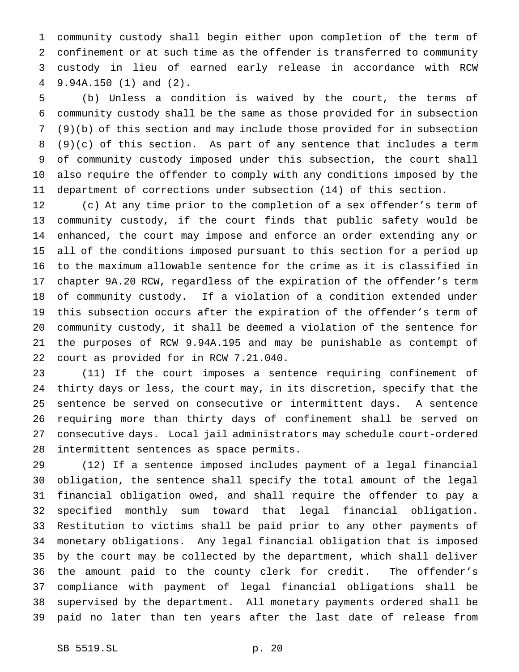community custody shall begin either upon completion of the term of confinement or at such time as the offender is transferred to community custody in lieu of earned early release in accordance with RCW 9.94A.150 (1) and (2).

 (b) Unless a condition is waived by the court, the terms of community custody shall be the same as those provided for in subsection (9)(b) of this section and may include those provided for in subsection (9)(c) of this section. As part of any sentence that includes a term of community custody imposed under this subsection, the court shall also require the offender to comply with any conditions imposed by the department of corrections under subsection (14) of this section.

 (c) At any time prior to the completion of a sex offender's term of community custody, if the court finds that public safety would be enhanced, the court may impose and enforce an order extending any or all of the conditions imposed pursuant to this section for a period up to the maximum allowable sentence for the crime as it is classified in chapter 9A.20 RCW, regardless of the expiration of the offender's term of community custody. If a violation of a condition extended under this subsection occurs after the expiration of the offender's term of community custody, it shall be deemed a violation of the sentence for the purposes of RCW 9.94A.195 and may be punishable as contempt of court as provided for in RCW 7.21.040.

 (11) If the court imposes a sentence requiring confinement of thirty days or less, the court may, in its discretion, specify that the sentence be served on consecutive or intermittent days. A sentence requiring more than thirty days of confinement shall be served on consecutive days. Local jail administrators may schedule court-ordered intermittent sentences as space permits.

 (12) If a sentence imposed includes payment of a legal financial obligation, the sentence shall specify the total amount of the legal financial obligation owed, and shall require the offender to pay a specified monthly sum toward that legal financial obligation. Restitution to victims shall be paid prior to any other payments of monetary obligations. Any legal financial obligation that is imposed by the court may be collected by the department, which shall deliver the amount paid to the county clerk for credit. The offender's compliance with payment of legal financial obligations shall be supervised by the department. All monetary payments ordered shall be paid no later than ten years after the last date of release from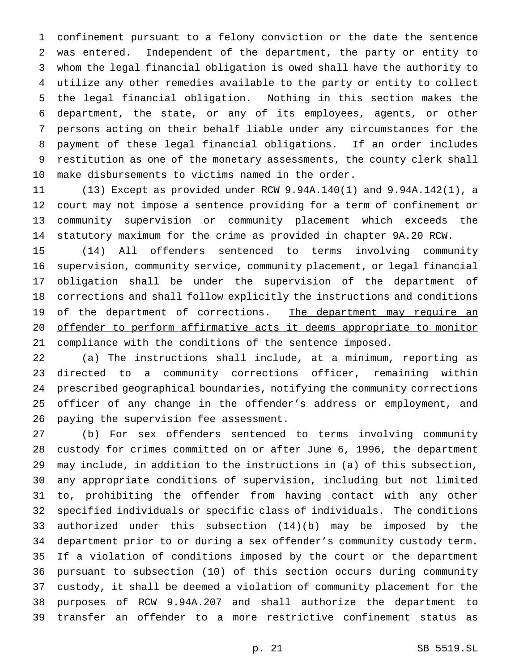confinement pursuant to a felony conviction or the date the sentence was entered. Independent of the department, the party or entity to whom the legal financial obligation is owed shall have the authority to utilize any other remedies available to the party or entity to collect the legal financial obligation. Nothing in this section makes the department, the state, or any of its employees, agents, or other persons acting on their behalf liable under any circumstances for the payment of these legal financial obligations. If an order includes restitution as one of the monetary assessments, the county clerk shall make disbursements to victims named in the order.

 (13) Except as provided under RCW 9.94A.140(1) and 9.94A.142(1), a court may not impose a sentence providing for a term of confinement or community supervision or community placement which exceeds the statutory maximum for the crime as provided in chapter 9A.20 RCW.

 (14) All offenders sentenced to terms involving community supervision, community service, community placement, or legal financial obligation shall be under the supervision of the department of corrections and shall follow explicitly the instructions and conditions 19 of the department of corrections. The department may require an offender to perform affirmative acts it deems appropriate to monitor compliance with the conditions of the sentence imposed.

 (a) The instructions shall include, at a minimum, reporting as directed to a community corrections officer, remaining within prescribed geographical boundaries, notifying the community corrections officer of any change in the offender's address or employment, and paying the supervision fee assessment.

 (b) For sex offenders sentenced to terms involving community custody for crimes committed on or after June 6, 1996, the department may include, in addition to the instructions in (a) of this subsection, any appropriate conditions of supervision, including but not limited to, prohibiting the offender from having contact with any other specified individuals or specific class of individuals. The conditions authorized under this subsection (14)(b) may be imposed by the department prior to or during a sex offender's community custody term. If a violation of conditions imposed by the court or the department pursuant to subsection (10) of this section occurs during community custody, it shall be deemed a violation of community placement for the purposes of RCW 9.94A.207 and shall authorize the department to transfer an offender to a more restrictive confinement status as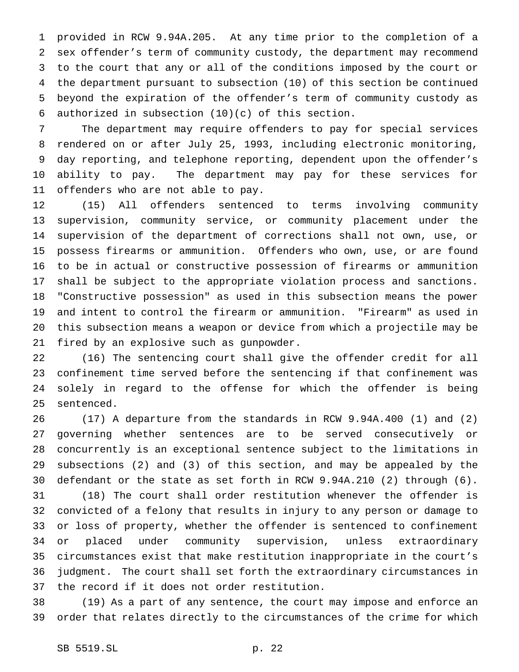provided in RCW 9.94A.205. At any time prior to the completion of a sex offender's term of community custody, the department may recommend to the court that any or all of the conditions imposed by the court or the department pursuant to subsection (10) of this section be continued beyond the expiration of the offender's term of community custody as 6 authorized in subsection  $(10)(c)$  of this section.

 The department may require offenders to pay for special services rendered on or after July 25, 1993, including electronic monitoring, day reporting, and telephone reporting, dependent upon the offender's ability to pay. The department may pay for these services for offenders who are not able to pay.

 (15) All offenders sentenced to terms involving community supervision, community service, or community placement under the supervision of the department of corrections shall not own, use, or possess firearms or ammunition. Offenders who own, use, or are found to be in actual or constructive possession of firearms or ammunition shall be subject to the appropriate violation process and sanctions. "Constructive possession" as used in this subsection means the power and intent to control the firearm or ammunition. "Firearm" as used in this subsection means a weapon or device from which a projectile may be fired by an explosive such as gunpowder.

 (16) The sentencing court shall give the offender credit for all confinement time served before the sentencing if that confinement was solely in regard to the offense for which the offender is being sentenced.

 (17) A departure from the standards in RCW 9.94A.400 (1) and (2) governing whether sentences are to be served consecutively or concurrently is an exceptional sentence subject to the limitations in subsections (2) and (3) of this section, and may be appealed by the defendant or the state as set forth in RCW 9.94A.210 (2) through (6). (18) The court shall order restitution whenever the offender is convicted of a felony that results in injury to any person or damage to or loss of property, whether the offender is sentenced to confinement or placed under community supervision, unless extraordinary circumstances exist that make restitution inappropriate in the court's

 judgment. The court shall set forth the extraordinary circumstances in the record if it does not order restitution.

 (19) As a part of any sentence, the court may impose and enforce an order that relates directly to the circumstances of the crime for which